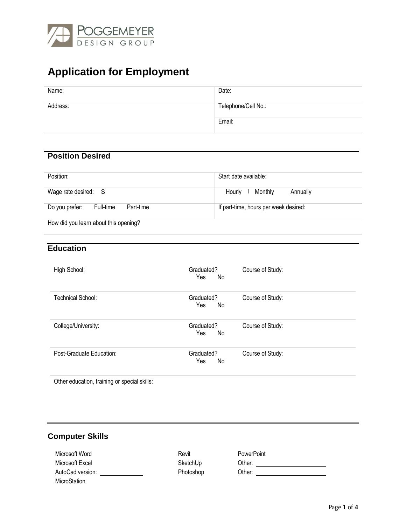

# **Application for Employment**

| Name:    | Date:               |
|----------|---------------------|
| Address: | Telephone/Cell No.: |
|          | Email:              |

## **Position Desired**

| Position:                                | Start date available:                 |
|------------------------------------------|---------------------------------------|
| Wage rate desired: $$$                   | Monthly<br>Hourly<br>Annually         |
| Do you prefer:<br>Full-time<br>Part-time | If part-time, hours per week desired: |
| How did you learn about this opening?    |                                       |

#### **Education**

| High School:             | Graduated?<br>Yes<br>No. | Course of Study: |
|--------------------------|--------------------------|------------------|
| Technical School:        | Graduated?<br>Yes<br>No  | Course of Study: |
| College/University:      | Graduated?<br>$Yes \_No$ | Course of Study: |
| Post-Graduate Education: | Graduated?<br>Yes<br>No. | Course of Study: |

Other education, training or special skills:

# **Computer Skills**

| Microsoft Word   | Revit     | PowerPoint |  |
|------------------|-----------|------------|--|
| Microsoft Excel  | SketchUp  | Other:     |  |
| AutoCad version: | Photoshop | Other:     |  |
| MicroStation     |           |            |  |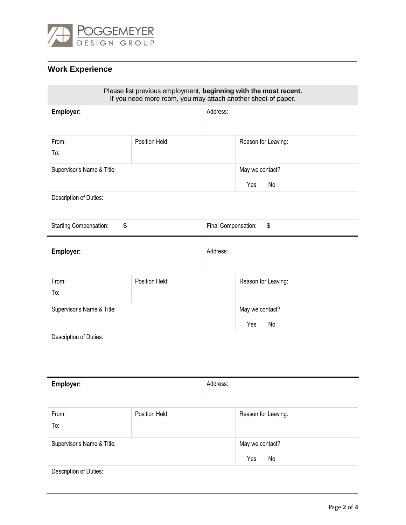

# **Work Experience**

 $\mathcal{L}_{\mathcal{A}}$ 

| Please list previous employment, beginning with the most recent.<br>If you need more room, you may attach another sheet of paper. |                |                     |                     |
|-----------------------------------------------------------------------------------------------------------------------------------|----------------|---------------------|---------------------|
| Employer:                                                                                                                         |                | Address:            |                     |
| From:                                                                                                                             | Position Held: |                     | Reason for Leaving: |
| To:                                                                                                                               |                |                     |                     |
| Supervisor's Name & Title:                                                                                                        |                |                     | May we contact?     |
|                                                                                                                                   |                |                     | No<br>Yes           |
| Description of Duties:                                                                                                            |                |                     |                     |
| <b>Starting Compensation:</b><br>\$                                                                                               |                | Final Compensation: | \$                  |
| Employer:                                                                                                                         |                | Address:            |                     |
| From:                                                                                                                             | Position Held: |                     | Reason for Leaving: |
| To:                                                                                                                               |                |                     |                     |
| Supervisor's Name & Title:                                                                                                        |                |                     | May we contact?     |
|                                                                                                                                   |                |                     | Yes<br>No           |
| Description of Duties:                                                                                                            |                |                     |                     |
|                                                                                                                                   |                |                     |                     |
| Employer:                                                                                                                         |                | Address:            |                     |
| From:                                                                                                                             | Position Held: |                     | Reason for Leaving: |
| To:                                                                                                                               |                |                     |                     |
| Supervisor's Name & Title:                                                                                                        |                |                     | May we contact?     |
|                                                                                                                                   |                |                     | No<br>Yes           |
| Description of Duties:                                                                                                            |                |                     |                     |

**\_\_\_\_\_\_\_\_\_\_\_\_\_\_\_\_\_\_\_\_\_\_\_\_\_\_\_\_\_\_\_\_\_\_\_\_\_\_\_\_\_\_\_\_\_\_\_\_\_\_\_\_\_\_\_\_\_\_\_\_\_\_\_\_\_\_\_\_\_\_**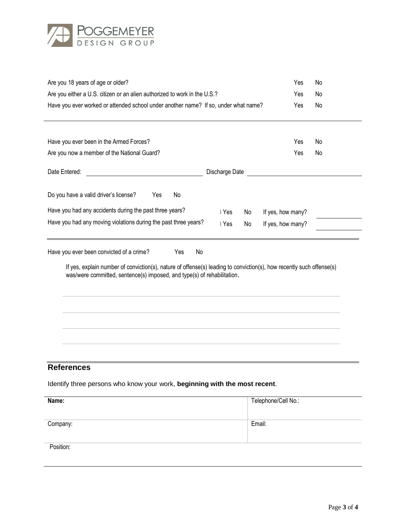

| Are you 18 years of age or older?                                                                                                                                                               | Yes               | No |
|-------------------------------------------------------------------------------------------------------------------------------------------------------------------------------------------------|-------------------|----|
| Are you either a U.S. citizen or an alien authorized to work in the U.S.?                                                                                                                       | Yes               | No |
| Have you ever worked or attended school under another name? If so, under what name?                                                                                                             | Yes               | No |
| Have you ever been in the Armed Forces?                                                                                                                                                         | Yes               | No |
| Are you now a member of the National Guard?                                                                                                                                                     | Yes               | No |
| Discharge Date<br>Date Entered:                                                                                                                                                                 |                   |    |
| Do you have a valid driver's license?<br>Yes<br>No                                                                                                                                              |                   |    |
| Have you had any accidents during the past three years?<br>∣ Yes<br>No                                                                                                                          | If yes, how many? |    |
| Have you had any moving violations during the past three years?<br>∣ Yes<br>No                                                                                                                  | If yes, how many? |    |
| Have you ever been convicted of a crime?<br>No<br>Yes                                                                                                                                           |                   |    |
| If yes, explain number of conviction(s), nature of offense(s) leading to conviction(s), how recently such offense(s)<br>was/were committed, sentence(s) imposed, and type(s) of rehabilitation. |                   |    |
|                                                                                                                                                                                                 |                   |    |
|                                                                                                                                                                                                 |                   |    |
|                                                                                                                                                                                                 |                   |    |
|                                                                                                                                                                                                 |                   |    |
|                                                                                                                                                                                                 |                   |    |

### **References**

Identify three persons who know your work, **beginning with the most recent**.

| Name:     | Telephone/Cell No.: |
|-----------|---------------------|
| Company:  | Email:              |
| Position: |                     |